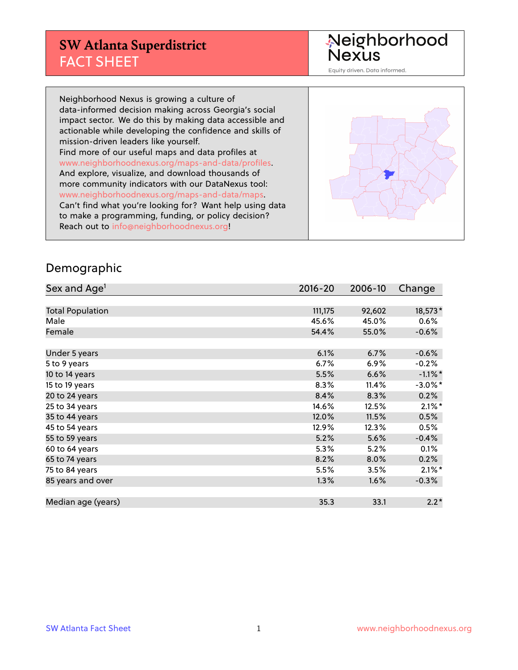## **SW Atlanta Superdistrict** FACT SHEET

Neighborhood<br>Nexus

Equity driven. Data informed.

Neighborhood Nexus is growing a culture of data-informed decision making across Georgia's social impact sector. We do this by making data accessible and actionable while developing the confidence and skills of mission-driven leaders like yourself. Find more of our useful maps and data profiles at www.neighborhoodnexus.org/maps-and-data/profiles. And explore, visualize, and download thousands of more community indicators with our DataNexus tool: www.neighborhoodnexus.org/maps-and-data/maps. Can't find what you're looking for? Want help using data to make a programming, funding, or policy decision? Reach out to [info@neighborhoodnexus.org!](mailto:info@neighborhoodnexus.org)



#### Demographic

| Sex and Age <sup>1</sup> | $2016 - 20$ | 2006-10 | Change     |
|--------------------------|-------------|---------|------------|
|                          |             |         |            |
| <b>Total Population</b>  | 111,175     | 92,602  | 18,573*    |
| Male                     | 45.6%       | 45.0%   | $0.6\%$    |
| Female                   | 54.4%       | 55.0%   | $-0.6%$    |
|                          |             |         |            |
| Under 5 years            | 6.1%        | 6.7%    | $-0.6%$    |
| 5 to 9 years             | 6.7%        | 6.9%    | $-0.2%$    |
| 10 to 14 years           | 5.5%        | 6.6%    | $-1.1\%$ * |
| 15 to 19 years           | 8.3%        | 11.4%   | $-3.0\%$ * |
| 20 to 24 years           | 8.4%        | 8.3%    | 0.2%       |
| 25 to 34 years           | 14.6%       | 12.5%   | $2.1\%$ *  |
| 35 to 44 years           | 12.0%       | 11.5%   | 0.5%       |
| 45 to 54 years           | 12.9%       | 12.3%   | 0.5%       |
| 55 to 59 years           | 5.2%        | 5.6%    | $-0.4%$    |
| 60 to 64 years           | 5.3%        | 5.2%    | 0.1%       |
| 65 to 74 years           | 8.2%        | 8.0%    | 0.2%       |
| 75 to 84 years           | 5.5%        | 3.5%    | $2.1\%$ *  |
| 85 years and over        | 1.3%        | 1.6%    | $-0.3%$    |
|                          |             |         |            |
| Median age (years)       | 35.3        | 33.1    | $2.2*$     |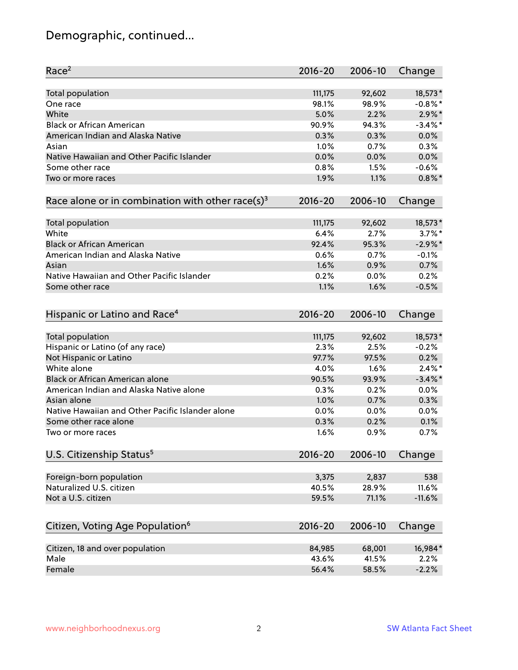# Demographic, continued...

| Race <sup>2</sup>                                            | $2016 - 20$ | 2006-10 | Change     |
|--------------------------------------------------------------|-------------|---------|------------|
| <b>Total population</b>                                      | 111,175     | 92,602  | 18,573*    |
| One race                                                     | 98.1%       | 98.9%   | $-0.8\%$ * |
| White                                                        | 5.0%        | 2.2%    | $2.9\%$ *  |
| <b>Black or African American</b>                             | 90.9%       | 94.3%   | $-3.4\%$ * |
| American Indian and Alaska Native                            | 0.3%        | 0.3%    | 0.0%       |
| Asian                                                        | 1.0%        | 0.7%    | 0.3%       |
| Native Hawaiian and Other Pacific Islander                   | 0.0%        | 0.0%    | 0.0%       |
| Some other race                                              | 0.8%        | 1.5%    | $-0.6%$    |
| Two or more races                                            | 1.9%        | 1.1%    | $0.8\%$ *  |
| Race alone or in combination with other race(s) <sup>3</sup> | $2016 - 20$ | 2006-10 | Change     |
|                                                              |             |         |            |
| Total population                                             | 111,175     | 92,602  | 18,573*    |
| White                                                        | 6.4%        | 2.7%    | $3.7\%$ *  |
| <b>Black or African American</b>                             | 92.4%       | 95.3%   | $-2.9\%$ * |
| American Indian and Alaska Native                            | 0.6%        | 0.7%    | $-0.1%$    |
| Asian                                                        | 1.6%        | 0.9%    | 0.7%       |
| Native Hawaiian and Other Pacific Islander                   | 0.2%        | 0.0%    | 0.2%       |
| Some other race                                              | 1.1%        | 1.6%    | $-0.5%$    |
| Hispanic or Latino and Race <sup>4</sup>                     | $2016 - 20$ | 2006-10 | Change     |
| <b>Total population</b>                                      | 111,175     | 92,602  | 18,573*    |
| Hispanic or Latino (of any race)                             | 2.3%        | 2.5%    | $-0.2%$    |
| Not Hispanic or Latino                                       | 97.7%       | 97.5%   | 0.2%       |
| White alone                                                  | 4.0%        | 1.6%    | $2.4\%$ *  |
| <b>Black or African American alone</b>                       | 90.5%       | 93.9%   | $-3.4\%$ * |
| American Indian and Alaska Native alone                      | 0.3%        | 0.2%    | 0.0%       |
| Asian alone                                                  | 1.0%        | 0.7%    | 0.3%       |
| Native Hawaiian and Other Pacific Islander alone             | 0.0%        | 0.0%    | 0.0%       |
| Some other race alone                                        | 0.3%        | 0.2%    | 0.1%       |
| Two or more races                                            | 1.6%        | 0.9%    | 0.7%       |
|                                                              |             |         |            |
| U.S. Citizenship Status <sup>5</sup>                         | $2016 - 20$ | 2006-10 | Change     |
| Foreign-born population                                      | 3,375       | 2,837   | 538        |
| Naturalized U.S. citizen                                     | 40.5%       | 28.9%   | 11.6%      |
| Not a U.S. citizen                                           | 59.5%       | 71.1%   | $-11.6%$   |
|                                                              | $2016 - 20$ | 2006-10 |            |
| Citizen, Voting Age Population <sup>6</sup>                  |             |         | Change     |
| Citizen, 18 and over population                              | 84,985      | 68,001  | 16,984*    |
| Male                                                         | 43.6%       | 41.5%   | 2.2%       |
| Female                                                       | 56.4%       | 58.5%   | $-2.2%$    |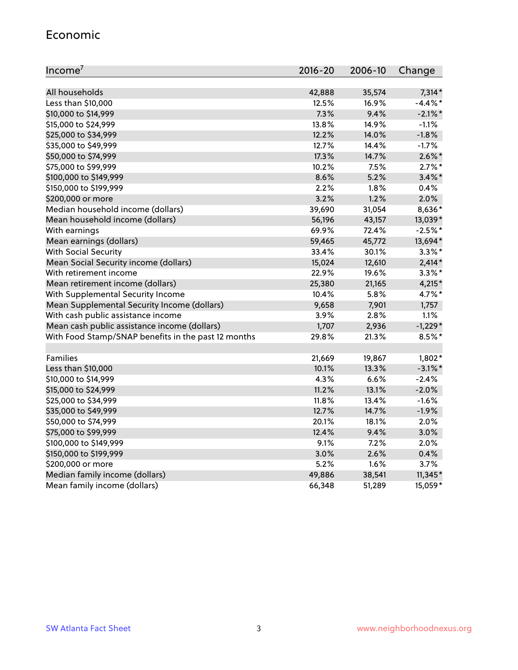#### Economic

| Income <sup>7</sup>                                 | $2016 - 20$ | 2006-10 | Change     |
|-----------------------------------------------------|-------------|---------|------------|
|                                                     |             |         |            |
| All households                                      | 42,888      | 35,574  | $7,314*$   |
| Less than \$10,000                                  | 12.5%       | 16.9%   | $-4.4\%$ * |
| \$10,000 to \$14,999                                | 7.3%        | 9.4%    | $-2.1\%$ * |
| \$15,000 to \$24,999                                | 13.8%       | 14.9%   | $-1.1%$    |
| \$25,000 to \$34,999                                | 12.2%       | 14.0%   | $-1.8%$    |
| \$35,000 to \$49,999                                | 12.7%       | 14.4%   | $-1.7%$    |
| \$50,000 to \$74,999                                | 17.3%       | 14.7%   | $2.6\%$ *  |
| \$75,000 to \$99,999                                | 10.2%       | 7.5%    | $2.7\%$ *  |
| \$100,000 to \$149,999                              | 8.6%        | 5.2%    | $3.4\%$ *  |
| \$150,000 to \$199,999                              | 2.2%        | 1.8%    | 0.4%       |
| \$200,000 or more                                   | 3.2%        | 1.2%    | 2.0%       |
| Median household income (dollars)                   | 39,690      | 31,054  | 8,636*     |
| Mean household income (dollars)                     | 56,196      | 43,157  | 13,039*    |
| With earnings                                       | 69.9%       | 72.4%   | $-2.5%$ *  |
| Mean earnings (dollars)                             | 59,465      | 45,772  | 13,694*    |
| <b>With Social Security</b>                         | 33.4%       | 30.1%   | $3.3\%$ *  |
| Mean Social Security income (dollars)               | 15,024      | 12,610  | $2,414*$   |
| With retirement income                              | 22.9%       | 19.6%   | $3.3\%$ *  |
| Mean retirement income (dollars)                    | 25,380      | 21,165  | $4,215*$   |
| With Supplemental Security Income                   | 10.4%       | 5.8%    | 4.7%*      |
| Mean Supplemental Security Income (dollars)         | 9,658       | 7,901   | 1,757      |
| With cash public assistance income                  | 3.9%        | 2.8%    | 1.1%       |
| Mean cash public assistance income (dollars)        | 1,707       | 2,936   | $-1,229*$  |
| With Food Stamp/SNAP benefits in the past 12 months | 29.8%       | 21.3%   | 8.5%*      |
|                                                     |             |         |            |
| Families                                            | 21,669      | 19,867  | $1,802*$   |
| Less than \$10,000                                  | 10.1%       | 13.3%   | $-3.1\%$ * |
| \$10,000 to \$14,999                                | 4.3%        | 6.6%    | $-2.4%$    |
| \$15,000 to \$24,999                                | 11.2%       | 13.1%   | $-2.0%$    |
| \$25,000 to \$34,999                                | 11.8%       | 13.4%   | $-1.6%$    |
| \$35,000 to \$49,999                                | 12.7%       | 14.7%   | $-1.9%$    |
| \$50,000 to \$74,999                                | 20.1%       | 18.1%   | 2.0%       |
| \$75,000 to \$99,999                                | 12.4%       | 9.4%    | 3.0%       |
| \$100,000 to \$149,999                              | 9.1%        | 7.2%    | 2.0%       |
| \$150,000 to \$199,999                              | 3.0%        | 2.6%    | 0.4%       |
| \$200,000 or more                                   | 5.2%        | 1.6%    | 3.7%       |
| Median family income (dollars)                      | 49,886      | 38,541  | $11,345*$  |
| Mean family income (dollars)                        | 66,348      | 51,289  | 15,059*    |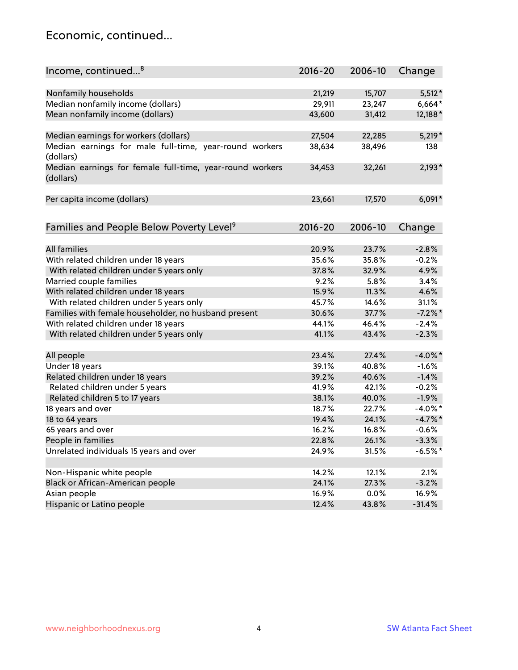#### Economic, continued...

| Income, continued <sup>8</sup>                                        | $2016 - 20$ | 2006-10 | Change     |
|-----------------------------------------------------------------------|-------------|---------|------------|
|                                                                       |             |         |            |
| Nonfamily households                                                  | 21,219      | 15,707  | $5,512*$   |
| Median nonfamily income (dollars)                                     | 29,911      | 23,247  | $6,664*$   |
| Mean nonfamily income (dollars)                                       | 43,600      | 31,412  | 12,188*    |
| Median earnings for workers (dollars)                                 | 27,504      | 22,285  | $5,219*$   |
| Median earnings for male full-time, year-round workers<br>(dollars)   | 38,634      | 38,496  | 138        |
| Median earnings for female full-time, year-round workers<br>(dollars) | 34,453      | 32,261  | $2,193*$   |
| Per capita income (dollars)                                           | 23,661      | 17,570  | $6,091*$   |
|                                                                       |             |         |            |
| Families and People Below Poverty Level <sup>9</sup>                  | $2016 - 20$ | 2006-10 | Change     |
| <b>All families</b>                                                   | 20.9%       | 23.7%   | $-2.8%$    |
| With related children under 18 years                                  | 35.6%       | 35.8%   | $-0.2%$    |
| With related children under 5 years only                              | 37.8%       | 32.9%   | 4.9%       |
| Married couple families                                               | 9.2%        | 5.8%    | 3.4%       |
| With related children under 18 years                                  | 15.9%       | 11.3%   | 4.6%       |
| With related children under 5 years only                              | 45.7%       | 14.6%   | 31.1%      |
| Families with female householder, no husband present                  | 30.6%       | 37.7%   | $-7.2%$ *  |
| With related children under 18 years                                  | 44.1%       | 46.4%   | $-2.4%$    |
| With related children under 5 years only                              | 41.1%       | 43.4%   | $-2.3%$    |
|                                                                       |             |         |            |
| All people                                                            | 23.4%       | 27.4%   | $-4.0\%$ * |
| Under 18 years                                                        | 39.1%       | 40.8%   | $-1.6%$    |
| Related children under 18 years                                       | 39.2%       | 40.6%   | $-1.4%$    |
| Related children under 5 years                                        | 41.9%       | 42.1%   | $-0.2%$    |
| Related children 5 to 17 years                                        | 38.1%       | 40.0%   | $-1.9%$    |
| 18 years and over                                                     | 18.7%       | 22.7%   | $-4.0\%$ * |
| 18 to 64 years                                                        | 19.4%       | 24.1%   | $-4.7%$ *  |
| 65 years and over                                                     | 16.2%       | 16.8%   | $-0.6%$    |
| People in families                                                    | 22.8%       | 26.1%   | $-3.3%$    |
| Unrelated individuals 15 years and over                               | 24.9%       | 31.5%   | $-6.5%$ *  |
|                                                                       |             |         |            |
| Non-Hispanic white people                                             | 14.2%       | 12.1%   | 2.1%       |
| Black or African-American people                                      | 24.1%       | 27.3%   | $-3.2%$    |
| Asian people                                                          | 16.9%       | 0.0%    | 16.9%      |
| Hispanic or Latino people                                             | 12.4%       | 43.8%   | $-31.4%$   |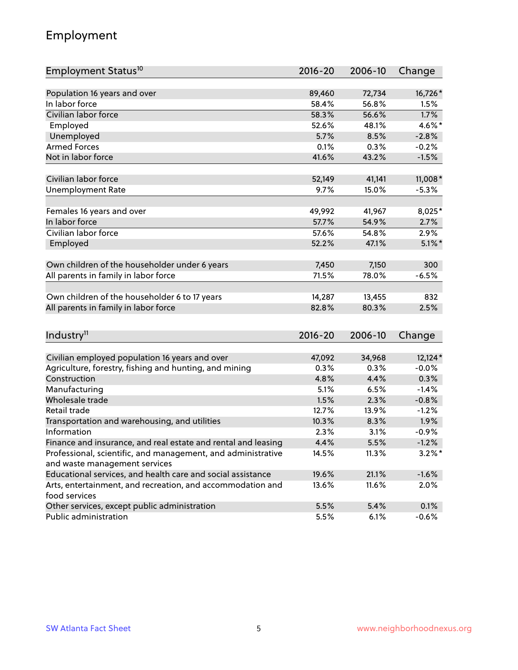## Employment

| Employment Status <sup>10</sup>                               | $2016 - 20$ | 2006-10 | Change    |
|---------------------------------------------------------------|-------------|---------|-----------|
|                                                               |             |         |           |
| Population 16 years and over<br>In labor force                | 89,460      | 72,734  | 16,726*   |
| Civilian labor force                                          | 58.4%       | 56.8%   | 1.5%      |
|                                                               | 58.3%       | 56.6%   | 1.7%      |
| Employed                                                      | 52.6%       | 48.1%   | 4.6%*     |
| Unemployed                                                    | 5.7%        | 8.5%    | $-2.8%$   |
| <b>Armed Forces</b>                                           | 0.1%        | 0.3%    | $-0.2%$   |
| Not in labor force                                            | 41.6%       | 43.2%   | $-1.5%$   |
| Civilian labor force                                          | 52,149      | 41,141  | 11,008 *  |
| <b>Unemployment Rate</b>                                      | 9.7%        | 15.0%   | $-5.3%$   |
|                                                               |             |         |           |
| Females 16 years and over                                     | 49,992      | 41,967  | $8,025*$  |
| In labor force                                                | 57.7%       | 54.9%   | 2.7%      |
| Civilian labor force                                          | 57.6%       | 54.8%   | 2.9%      |
| Employed                                                      | 52.2%       | 47.1%   | $5.1\%$ * |
|                                                               |             |         |           |
| Own children of the householder under 6 years                 | 7,450       | 7,150   | 300       |
| All parents in family in labor force                          | 71.5%       | 78.0%   | $-6.5%$   |
|                                                               |             |         |           |
| Own children of the householder 6 to 17 years                 | 14,287      | 13,455  | 832       |
| All parents in family in labor force                          | 82.8%       | 80.3%   | 2.5%      |
|                                                               |             |         |           |
| Industry <sup>11</sup>                                        | $2016 - 20$ | 2006-10 | Change    |
|                                                               |             |         |           |
| Civilian employed population 16 years and over                | 47,092      | 34,968  | $12,124*$ |
| Agriculture, forestry, fishing and hunting, and mining        | 0.3%        | 0.3%    | $-0.0%$   |
| Construction                                                  | 4.8%        | 4.4%    | 0.3%      |
| Manufacturing                                                 | 5.1%        | 6.5%    | $-1.4%$   |
| Wholesale trade                                               | 1.5%        | 2.3%    | $-0.8%$   |
| Retail trade                                                  | 12.7%       | 13.9%   | $-1.2%$   |
| Transportation and warehousing, and utilities                 | 10.3%       | 8.3%    | 1.9%      |
| Information                                                   | 2.3%        | 3.1%    | $-0.9%$   |
| Finance and insurance, and real estate and rental and leasing | 4.4%        | 5.5%    | $-1.2%$   |
| Professional, scientific, and management, and administrative  | 14.5%       | 11.3%   | $3.2\%$ * |
| and waste management services                                 |             |         |           |
| Educational services, and health care and social assistance   | 19.6%       | 21.1%   | $-1.6%$   |
| Arts, entertainment, and recreation, and accommodation and    | 13.6%       | 11.6%   | 2.0%      |
| food services                                                 |             |         |           |
| Other services, except public administration                  | 5.5%        | 5.4%    | 0.1%      |
| Public administration                                         | 5.5%        | 6.1%    | $-0.6%$   |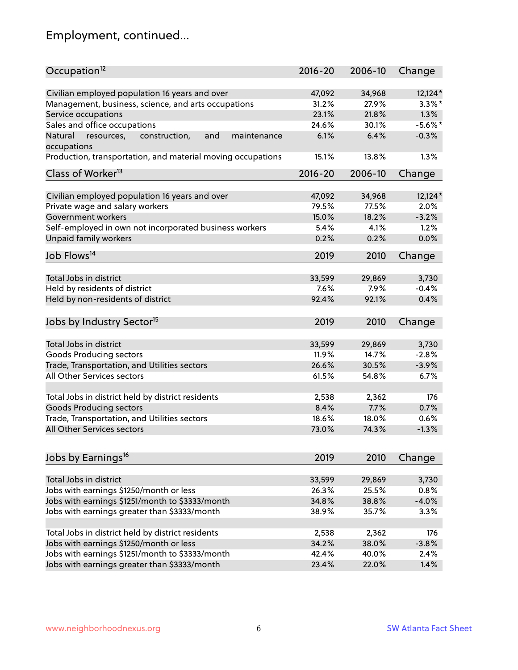# Employment, continued...

| Occupation <sup>12</sup>                                                    | $2016 - 20$ | 2006-10 | Change     |
|-----------------------------------------------------------------------------|-------------|---------|------------|
| Civilian employed population 16 years and over                              | 47,092      | 34,968  | $12,124*$  |
| Management, business, science, and arts occupations                         | 31.2%       | 27.9%   | $3.3\%$ *  |
| Service occupations                                                         | 23.1%       | 21.8%   | 1.3%       |
| Sales and office occupations                                                | 24.6%       | 30.1%   | $-5.6\%$ * |
|                                                                             | 6.1%        | 6.4%    | $-0.3%$    |
| Natural<br>and<br>resources,<br>construction,<br>maintenance<br>occupations |             |         |            |
| Production, transportation, and material moving occupations                 | 15.1%       | 13.8%   | 1.3%       |
| Class of Worker <sup>13</sup>                                               | $2016 - 20$ | 2006-10 | Change     |
|                                                                             |             |         |            |
| Civilian employed population 16 years and over                              | 47,092      | 34,968  | $12,124*$  |
| Private wage and salary workers                                             | 79.5%       | 77.5%   | 2.0%       |
| Government workers                                                          | 15.0%       | 18.2%   | $-3.2%$    |
| Self-employed in own not incorporated business workers                      | 5.4%        | 4.1%    | 1.2%       |
| Unpaid family workers                                                       | 0.2%        | 0.2%    | 0.0%       |
| Job Flows <sup>14</sup>                                                     | 2019        | 2010    | Change     |
|                                                                             |             |         |            |
| Total Jobs in district                                                      | 33,599      | 29,869  | 3,730      |
| Held by residents of district                                               | 7.6%        | 7.9%    | $-0.4%$    |
| Held by non-residents of district                                           | 92.4%       | 92.1%   | 0.4%       |
| Jobs by Industry Sector <sup>15</sup>                                       | 2019        | 2010    | Change     |
|                                                                             |             |         |            |
| Total Jobs in district                                                      | 33,599      | 29,869  | 3,730      |
| Goods Producing sectors                                                     | 11.9%       | 14.7%   | $-2.8%$    |
| Trade, Transportation, and Utilities sectors                                | 26.6%       | 30.5%   | $-3.9%$    |
| All Other Services sectors                                                  | 61.5%       | 54.8%   | 6.7%       |
| Total Jobs in district held by district residents                           | 2,538       | 2,362   | 176        |
| <b>Goods Producing sectors</b>                                              | 8.4%        | 7.7%    | 0.7%       |
| Trade, Transportation, and Utilities sectors                                | 18.6%       | 18.0%   | 0.6%       |
| All Other Services sectors                                                  | 73.0%       | 74.3%   | $-1.3%$    |
|                                                                             |             |         |            |
| Jobs by Earnings <sup>16</sup>                                              | 2019        | 2010    | Change     |
|                                                                             |             |         |            |
| Total Jobs in district                                                      | 33,599      | 29,869  | 3,730      |
| Jobs with earnings \$1250/month or less                                     | 26.3%       | 25.5%   | 0.8%       |
| Jobs with earnings \$1251/month to \$3333/month                             | 34.8%       | 38.8%   | $-4.0%$    |
| Jobs with earnings greater than \$3333/month                                | 38.9%       | 35.7%   | 3.3%       |
| Total Jobs in district held by district residents                           | 2,538       | 2,362   | 176        |
| Jobs with earnings \$1250/month or less                                     | 34.2%       | 38.0%   | $-3.8%$    |
| Jobs with earnings \$1251/month to \$3333/month                             | 42.4%       | 40.0%   | 2.4%       |
| Jobs with earnings greater than \$3333/month                                | 23.4%       | 22.0%   | 1.4%       |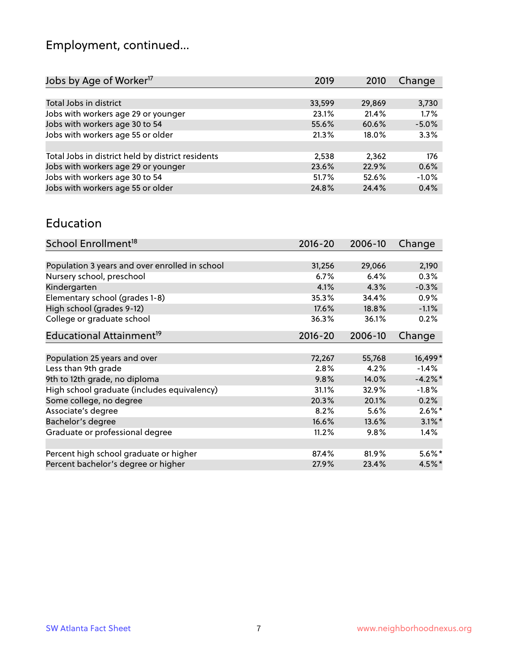# Employment, continued...

| 2019   | 2010   | Change  |
|--------|--------|---------|
|        |        |         |
| 33,599 | 29,869 | 3,730   |
| 23.1%  | 21.4%  | 1.7%    |
| 55.6%  | 60.6%  | $-5.0%$ |
| 21.3%  | 18.0%  | 3.3%    |
|        |        |         |
| 2,538  | 2,362  | 176     |
| 23.6%  | 22.9%  | 0.6%    |
| 51.7%  | 52.6%  | $-1.0%$ |
| 24.8%  | 24.4%  | 0.4%    |
|        |        |         |

#### Education

| School Enrollment <sup>18</sup>                | $2016 - 20$ | 2006-10 | Change    |
|------------------------------------------------|-------------|---------|-----------|
|                                                |             |         |           |
| Population 3 years and over enrolled in school | 31,256      | 29,066  | 2,190     |
| Nursery school, preschool                      | $6.7\%$     | 6.4%    | 0.3%      |
| Kindergarten                                   | 4.1%        | 4.3%    | $-0.3%$   |
| Elementary school (grades 1-8)                 | 35.3%       | 34.4%   | 0.9%      |
| High school (grades 9-12)                      | 17.6%       | 18.8%   | $-1.1%$   |
| College or graduate school                     | 36.3%       | 36.1%   | 0.2%      |
| Educational Attainment <sup>19</sup>           | $2016 - 20$ | 2006-10 | Change    |
|                                                |             |         |           |
| Population 25 years and over                   | 72,267      | 55,768  | 16,499*   |
| Less than 9th grade                            | 2.8%        | 4.2%    | $-1.4%$   |
| 9th to 12th grade, no diploma                  | 9.8%        | 14.0%   | $-4.2%$ * |
| High school graduate (includes equivalency)    | 31.1%       | 32.9%   | $-1.8%$   |
| Some college, no degree                        | 20.3%       | 20.1%   | 0.2%      |
| Associate's degree                             | 8.2%        | 5.6%    | $2.6\%$ * |
| Bachelor's degree                              | 16.6%       | 13.6%   | $3.1\%$ * |
| Graduate or professional degree                | 11.2%       | 9.8%    | $1.4\%$   |
|                                                |             |         |           |
| Percent high school graduate or higher         | 87.4%       | 81.9%   | $5.6\%*$  |
| Percent bachelor's degree or higher            | 27.9%       | 23.4%   | $4.5\%$ * |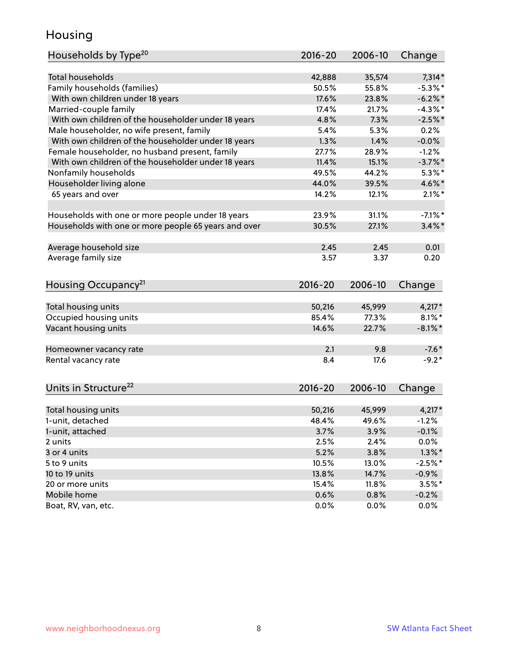## Housing

| Households by Type <sup>20</sup>                     | 2016-20     | 2006-10 | Change     |
|------------------------------------------------------|-------------|---------|------------|
|                                                      |             |         |            |
| <b>Total households</b>                              | 42,888      | 35,574  | $7,314*$   |
| Family households (families)                         | 50.5%       | 55.8%   | $-5.3\%$ * |
| With own children under 18 years                     | 17.6%       | 23.8%   | $-6.2\%$ * |
| Married-couple family                                | 17.4%       | 21.7%   | $-4.3\%$ * |
| With own children of the householder under 18 years  | 4.8%        | 7.3%    | $-2.5%$ *  |
| Male householder, no wife present, family            | 5.4%        | 5.3%    | 0.2%       |
| With own children of the householder under 18 years  | 1.3%        | 1.4%    | $-0.0%$    |
| Female householder, no husband present, family       | 27.7%       | 28.9%   | $-1.2%$    |
| With own children of the householder under 18 years  | 11.4%       | 15.1%   | $-3.7%$ *  |
| Nonfamily households                                 | 49.5%       | 44.2%   | $5.3\%$ *  |
| Householder living alone                             | 44.0%       | 39.5%   | 4.6%*      |
| 65 years and over                                    | 14.2%       | 12.1%   | $2.1\%$ *  |
|                                                      |             |         |            |
| Households with one or more people under 18 years    | 23.9%       | 31.1%   | $-7.1\%$ * |
| Households with one or more people 65 years and over | 30.5%       | 27.1%   | $3.4\%$ *  |
|                                                      |             |         |            |
| Average household size                               | 2.45        | 2.45    | 0.01       |
| Average family size                                  | 3.57        | 3.37    | 0.20       |
|                                                      |             |         |            |
| Housing Occupancy <sup>21</sup>                      | $2016 - 20$ | 2006-10 | Change     |
|                                                      |             |         |            |
| Total housing units                                  | 50,216      | 45,999  | $4,217*$   |
| Occupied housing units                               | 85.4%       | 77.3%   | $8.1\%$ *  |
| Vacant housing units                                 | 14.6%       | 22.7%   | $-8.1\%$ * |
| Homeowner vacancy rate                               | 2.1         | 9.8     | $-7.6*$    |
| Rental vacancy rate                                  | 8.4         | 17.6    | $-9.2*$    |
|                                                      |             |         |            |
| Units in Structure <sup>22</sup>                     | $2016 - 20$ | 2006-10 | Change     |
|                                                      |             |         |            |
| Total housing units                                  | 50,216      | 45,999  | $4,217*$   |
| 1-unit, detached                                     | 48.4%       | 49.6%   | $-1.2%$    |
| 1-unit, attached                                     | 3.7%        | 3.9%    | $-0.1%$    |
| 2 units                                              | 2.5%        | 2.4%    | 0.0%       |
| 3 or 4 units                                         | 5.2%        | 3.8%    | $1.3\%$ *  |
| 5 to 9 units                                         | 10.5%       | 13.0%   | $-2.5%$ *  |
| 10 to 19 units                                       | 13.8%       | 14.7%   | $-0.9%$    |
| 20 or more units                                     | 15.4%       | 11.8%   | $3.5%$ *   |
| Mobile home                                          | 0.6%        | 0.8%    | $-0.2%$    |
| Boat, RV, van, etc.                                  | 0.0%        | 0.0%    | 0.0%       |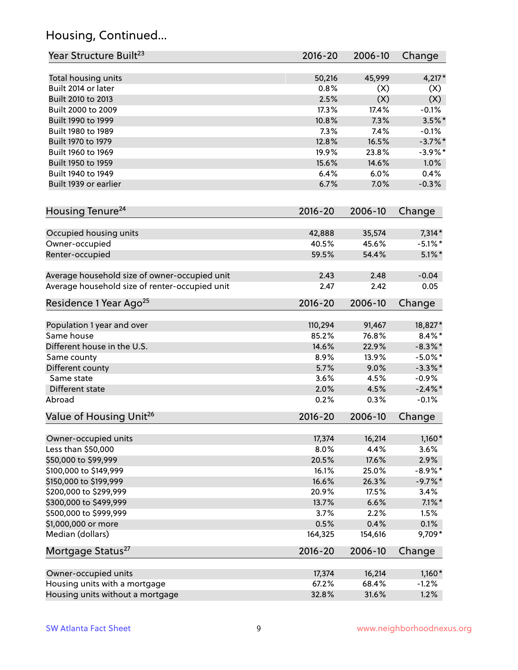## Housing, Continued...

| Year Structure Built <sup>23</sup>             | 2016-20     | 2006-10 | Change     |
|------------------------------------------------|-------------|---------|------------|
| Total housing units                            | 50,216      | 45,999  | $4,217*$   |
| Built 2014 or later                            | 0.8%        | (X)     | (X)        |
| Built 2010 to 2013                             | 2.5%        | (X)     | (X)        |
| Built 2000 to 2009                             | 17.3%       | 17.4%   | $-0.1%$    |
| Built 1990 to 1999                             | 10.8%       | 7.3%    | $3.5\%$ *  |
| Built 1980 to 1989                             | 7.3%        | 7.4%    | $-0.1%$    |
| Built 1970 to 1979                             | 12.8%       | 16.5%   | $-3.7\%$ * |
| Built 1960 to 1969                             | 19.9%       | 23.8%   | $-3.9\%$ * |
| Built 1950 to 1959                             | 15.6%       | 14.6%   | 1.0%       |
| Built 1940 to 1949                             | 6.4%        | 6.0%    | 0.4%       |
| Built 1939 or earlier                          | 6.7%        | 7.0%    | $-0.3%$    |
|                                                |             |         |            |
| Housing Tenure <sup>24</sup>                   | $2016 - 20$ | 2006-10 | Change     |
| Occupied housing units                         | 42,888      | 35,574  | $7,314*$   |
| Owner-occupied                                 | 40.5%       | 45.6%   | $-5.1\%$ * |
| Renter-occupied                                | 59.5%       | 54.4%   | $5.1\%$ *  |
| Average household size of owner-occupied unit  | 2.43        | 2.48    | $-0.04$    |
| Average household size of renter-occupied unit | 2.47        | 2.42    | 0.05       |
| Residence 1 Year Ago <sup>25</sup>             | $2016 - 20$ | 2006-10 | Change     |
|                                                |             |         |            |
| Population 1 year and over                     | 110,294     | 91,467  | 18,827*    |
| Same house                                     | 85.2%       | 76.8%   | $8.4\%*$   |
| Different house in the U.S.                    | 14.6%       | 22.9%   | $-8.3\%$ * |
| Same county                                    | 8.9%        | 13.9%   | $-5.0\%$ * |
| Different county                               | 5.7%        | 9.0%    | $-3.3\%$ * |
| Same state                                     | 3.6%        | 4.5%    | $-0.9%$    |
| Different state                                | 2.0%        | 4.5%    | $-2.4\%$ * |
| Abroad                                         | 0.2%        | 0.3%    | $-0.1%$    |
| Value of Housing Unit <sup>26</sup>            | $2016 - 20$ | 2006-10 | Change     |
| Owner-occupied units                           | 17,374      | 16,214  | $1,160*$   |
| Less than \$50,000                             | 8.0%        | 4.4%    | 3.6%       |
| \$50,000 to \$99,999                           | 20.5%       | 17.6%   | 2.9%       |
| \$100,000 to \$149,999                         | 16.1%       | 25.0%   | $-8.9\%$ * |
| \$150,000 to \$199,999                         | 16.6%       | 26.3%   | $-9.7%$ *  |
| \$200,000 to \$299,999                         | 20.9%       | 17.5%   | 3.4%       |
| \$300,000 to \$499,999                         | 13.7%       | 6.6%    | $7.1\%$ *  |
| \$500,000 to \$999,999                         | 3.7%        | 2.2%    | 1.5%       |
| \$1,000,000 or more                            | 0.5%        | 0.4%    | 0.1%       |
| Median (dollars)                               | 164,325     | 154,616 | 9,709*     |
| Mortgage Status <sup>27</sup>                  | $2016 - 20$ | 2006-10 | Change     |
| Owner-occupied units                           | 17,374      | 16,214  | $1,160*$   |
| Housing units with a mortgage                  | 67.2%       | 68.4%   | $-1.2%$    |
| Housing units without a mortgage               | 32.8%       | 31.6%   | 1.2%       |
|                                                |             |         |            |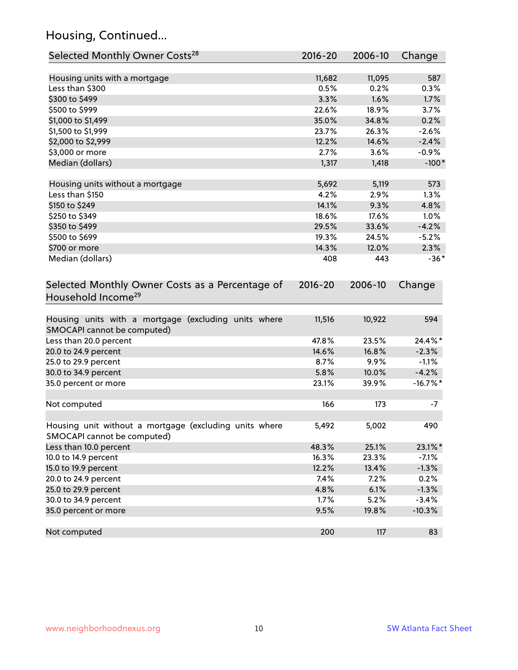## Housing, Continued...

| Selected Monthly Owner Costs <sup>28</sup>                                            | 2016-20     | 2006-10 | Change      |
|---------------------------------------------------------------------------------------|-------------|---------|-------------|
| Housing units with a mortgage                                                         | 11,682      | 11,095  | 587         |
| Less than \$300                                                                       | 0.5%        | 0.2%    | 0.3%        |
| \$300 to \$499                                                                        | 3.3%        | 1.6%    | 1.7%        |
| \$500 to \$999                                                                        | 22.6%       | 18.9%   | 3.7%        |
| \$1,000 to \$1,499                                                                    | 35.0%       | 34.8%   | 0.2%        |
| \$1,500 to \$1,999                                                                    | 23.7%       | 26.3%   | $-2.6%$     |
| \$2,000 to \$2,999                                                                    | 12.2%       | 14.6%   | $-2.4%$     |
| \$3,000 or more                                                                       | 2.7%        | 3.6%    | $-0.9%$     |
| Median (dollars)                                                                      | 1,317       | 1,418   | $-100*$     |
|                                                                                       |             |         |             |
| Housing units without a mortgage                                                      | 5,692       | 5,119   | 573         |
| Less than \$150                                                                       | 4.2%        | 2.9%    | 1.3%        |
| \$150 to \$249                                                                        | 14.1%       | 9.3%    | 4.8%        |
| \$250 to \$349                                                                        | 18.6%       | 17.6%   | 1.0%        |
| \$350 to \$499                                                                        | 29.5%       | 33.6%   | $-4.2%$     |
| \$500 to \$699                                                                        | 19.3%       | 24.5%   | $-5.2%$     |
| \$700 or more                                                                         | 14.3%       | 12.0%   | 2.3%        |
| Median (dollars)                                                                      | 408         | 443     | $-36*$      |
| Selected Monthly Owner Costs as a Percentage of<br>Household Income <sup>29</sup>     | $2016 - 20$ | 2006-10 | Change      |
| Housing units with a mortgage (excluding units where<br>SMOCAPI cannot be computed)   | 11,516      | 10,922  | 594         |
| Less than 20.0 percent                                                                | 47.8%       | 23.5%   | 24.4%*      |
| 20.0 to 24.9 percent                                                                  | 14.6%       | 16.8%   | $-2.3%$     |
| 25.0 to 29.9 percent                                                                  | 8.7%        | 9.9%    | $-1.1%$     |
| 30.0 to 34.9 percent                                                                  | 5.8%        | 10.0%   | $-4.2%$     |
| 35.0 percent or more                                                                  | 23.1%       | 39.9%   | $-16.7\%$ * |
| Not computed                                                                          | 166         | 173     | $-7$        |
| Housing unit without a mortgage (excluding units where<br>SMOCAPI cannot be computed) | 5,492       | 5,002   | 490         |
| Less than 10.0 percent                                                                | 48.3%       | 25.1%   | 23.1%*      |
| 10.0 to 14.9 percent                                                                  | 16.3%       | 23.3%   | $-7.1%$     |
| 15.0 to 19.9 percent                                                                  | 12.2%       | 13.4%   | $-1.3%$     |
| 20.0 to 24.9 percent                                                                  | 7.4%        | 7.2%    | 0.2%        |
| 25.0 to 29.9 percent                                                                  | 4.8%        | 6.1%    | $-1.3%$     |
| 30.0 to 34.9 percent                                                                  | 1.7%        | 5.2%    | $-3.4%$     |
| 35.0 percent or more                                                                  | 9.5%        | 19.8%   | $-10.3%$    |
| Not computed                                                                          | 200         | 117     | 83          |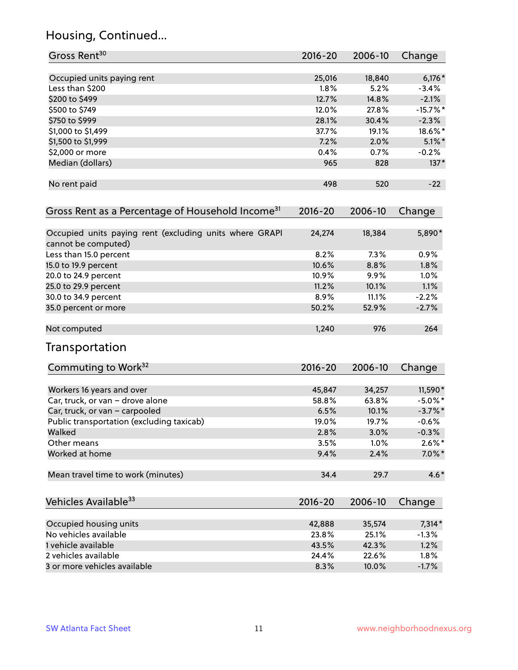## Housing, Continued...

| Gross Rent <sup>30</sup>                                                       | 2016-20     | 2006-10 | Change     |
|--------------------------------------------------------------------------------|-------------|---------|------------|
| Occupied units paying rent                                                     | 25,016      | 18,840  | $6,176*$   |
| Less than \$200                                                                | 1.8%        | 5.2%    | $-3.4%$    |
| \$200 to \$499                                                                 | 12.7%       | 14.8%   | $-2.1%$    |
| \$500 to \$749                                                                 | 12.0%       | 27.8%   | $-15.7%$ * |
| \$750 to \$999                                                                 | 28.1%       | 30.4%   | $-2.3%$    |
| \$1,000 to \$1,499                                                             | 37.7%       | 19.1%   | 18.6%*     |
| \$1,500 to \$1,999                                                             | 7.2%        | 2.0%    | $5.1\%$ *  |
| \$2,000 or more                                                                | 0.4%        | 0.7%    | $-0.2%$    |
| Median (dollars)                                                               | 965         | 828     | $137*$     |
| No rent paid                                                                   | 498         | 520     | $-22$      |
| Gross Rent as a Percentage of Household Income <sup>31</sup>                   | $2016 - 20$ | 2006-10 | Change     |
| Occupied units paying rent (excluding units where GRAPI<br>cannot be computed) | 24,274      | 18,384  | 5,890*     |
| Less than 15.0 percent                                                         | 8.2%        | 7.3%    | 0.9%       |
| 15.0 to 19.9 percent                                                           | 10.6%       | 8.8%    | 1.8%       |
| 20.0 to 24.9 percent                                                           | 10.9%       | 9.9%    | 1.0%       |
| 25.0 to 29.9 percent                                                           | 11.2%       | 10.1%   | 1.1%       |
| 30.0 to 34.9 percent                                                           | 8.9%        | 11.1%   | $-2.2%$    |
| 35.0 percent or more                                                           | 50.2%       | 52.9%   | $-2.7%$    |
| Not computed                                                                   | 1,240       | 976     | 264        |
| Transportation                                                                 |             |         |            |
| Commuting to Work <sup>32</sup>                                                | 2016-20     | 2006-10 | Change     |
| Workers 16 years and over                                                      | 45,847      | 34,257  | 11,590*    |
| Car, truck, or van - drove alone                                               | 58.8%       | 63.8%   | $-5.0\%$ * |
| Car, truck, or van - carpooled                                                 | 6.5%        | 10.1%   | $-3.7\%$ * |
| Public transportation (excluding taxicab)                                      | 19.0%       | 19.7%   | $-0.6%$    |
| Walked                                                                         | 2.8%        | 3.0%    | $-0.3%$    |
| Other means                                                                    | 3.5%        | 1.0%    | $2.6\%$ *  |
| Worked at home                                                                 | 9.4%        | 2.4%    | $7.0\%$ *  |
| Mean travel time to work (minutes)                                             | 34.4        | 29.7    | $4.6*$     |
| Vehicles Available <sup>33</sup>                                               | 2016-20     | 2006-10 | Change     |
| Occupied housing units                                                         | 42,888      | 35,574  | $7,314*$   |
| No vehicles available                                                          | 23.8%       | 25.1%   | $-1.3%$    |
| 1 vehicle available                                                            | 43.5%       | 42.3%   | 1.2%       |
| 2 vehicles available                                                           | 24.4%       | 22.6%   | 1.8%       |
| 3 or more vehicles available                                                   | 8.3%        | 10.0%   | $-1.7%$    |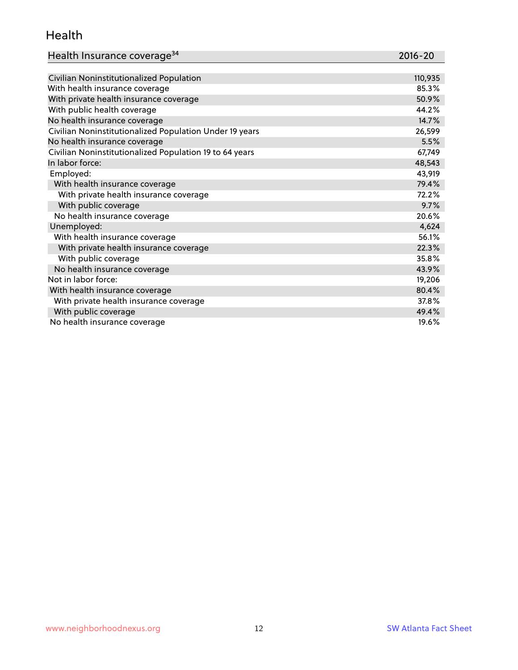#### Health

| Health Insurance coverage <sup>34</sup> | 2016-20 |
|-----------------------------------------|---------|
|-----------------------------------------|---------|

| Civilian Noninstitutionalized Population                | 110,935 |
|---------------------------------------------------------|---------|
| With health insurance coverage                          | 85.3%   |
| With private health insurance coverage                  | 50.9%   |
| With public health coverage                             | 44.2%   |
| No health insurance coverage                            | 14.7%   |
| Civilian Noninstitutionalized Population Under 19 years | 26,599  |
| No health insurance coverage                            | 5.5%    |
| Civilian Noninstitutionalized Population 19 to 64 years | 67,749  |
| In labor force:                                         | 48,543  |
| Employed:                                               | 43,919  |
| With health insurance coverage                          | 79.4%   |
| With private health insurance coverage                  | 72.2%   |
| With public coverage                                    | 9.7%    |
| No health insurance coverage                            | 20.6%   |
| Unemployed:                                             | 4,624   |
| With health insurance coverage                          | 56.1%   |
| With private health insurance coverage                  | 22.3%   |
| With public coverage                                    | 35.8%   |
| No health insurance coverage                            | 43.9%   |
| Not in labor force:                                     | 19,206  |
| With health insurance coverage                          | 80.4%   |
| With private health insurance coverage                  | 37.8%   |
| With public coverage                                    | 49.4%   |
| No health insurance coverage                            | 19.6%   |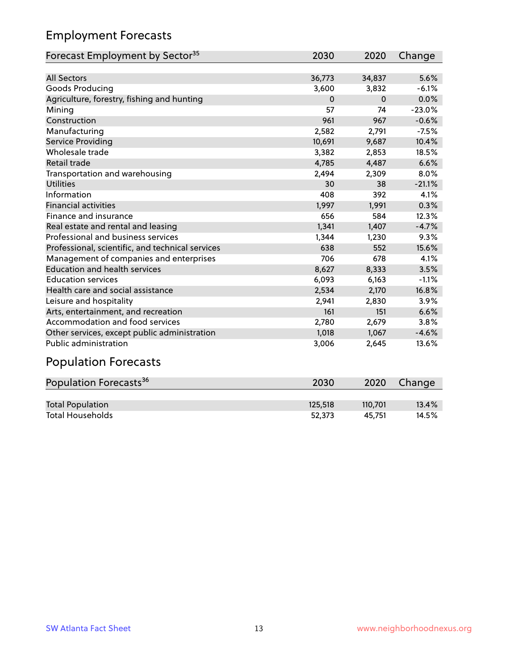## Employment Forecasts

| Forecast Employment by Sector <sup>35</sup>      | 2030        | 2020     | Change   |
|--------------------------------------------------|-------------|----------|----------|
|                                                  |             |          |          |
| <b>All Sectors</b>                               | 36,773      | 34,837   | 5.6%     |
| Goods Producing                                  | 3,600       | 3,832    | $-6.1%$  |
| Agriculture, forestry, fishing and hunting       | $\mathbf 0$ | $\Omega$ | 0.0%     |
| Mining                                           | 57          | 74       | $-23.0%$ |
| Construction                                     | 961         | 967      | $-0.6%$  |
| Manufacturing                                    | 2,582       | 2,791    | $-7.5%$  |
| Service Providing                                | 10,691      | 9,687    | 10.4%    |
| Wholesale trade                                  | 3,382       | 2,853    | 18.5%    |
| <b>Retail trade</b>                              | 4,785       | 4,487    | 6.6%     |
| Transportation and warehousing                   | 2,494       | 2,309    | 8.0%     |
| <b>Utilities</b>                                 | 30          | 38       | $-21.1%$ |
| Information                                      | 408         | 392      | 4.1%     |
| <b>Financial activities</b>                      | 1,997       | 1,991    | 0.3%     |
| Finance and insurance                            | 656         | 584      | 12.3%    |
| Real estate and rental and leasing               | 1,341       | 1,407    | $-4.7%$  |
| Professional and business services               | 1,344       | 1,230    | 9.3%     |
| Professional, scientific, and technical services | 638         | 552      | 15.6%    |
| Management of companies and enterprises          | 706         | 678      | 4.1%     |
| <b>Education and health services</b>             | 8,627       | 8,333    | 3.5%     |
| <b>Education services</b>                        | 6,093       | 6,163    | $-1.1%$  |
| Health care and social assistance                | 2,534       | 2,170    | 16.8%    |
| Leisure and hospitality                          | 2,941       | 2,830    | 3.9%     |
| Arts, entertainment, and recreation              | 161         | 151      | 6.6%     |
| Accommodation and food services                  | 2,780       | 2,679    | 3.8%     |
| Other services, except public administration     | 1,018       | 1,067    | $-4.6%$  |
| Public administration                            | 3,006       | 2,645    | 13.6%    |
| .                                                |             |          |          |

#### Population Forecasts

| Population Forecasts <sup>36</sup> | 2030    | 2020    | Change |
|------------------------------------|---------|---------|--------|
|                                    |         |         |        |
| <b>Total Population</b>            | 125,518 | 110.701 | 13.4%  |
| <b>Total Households</b>            | 52.373  | 45.751  | 14.5%  |